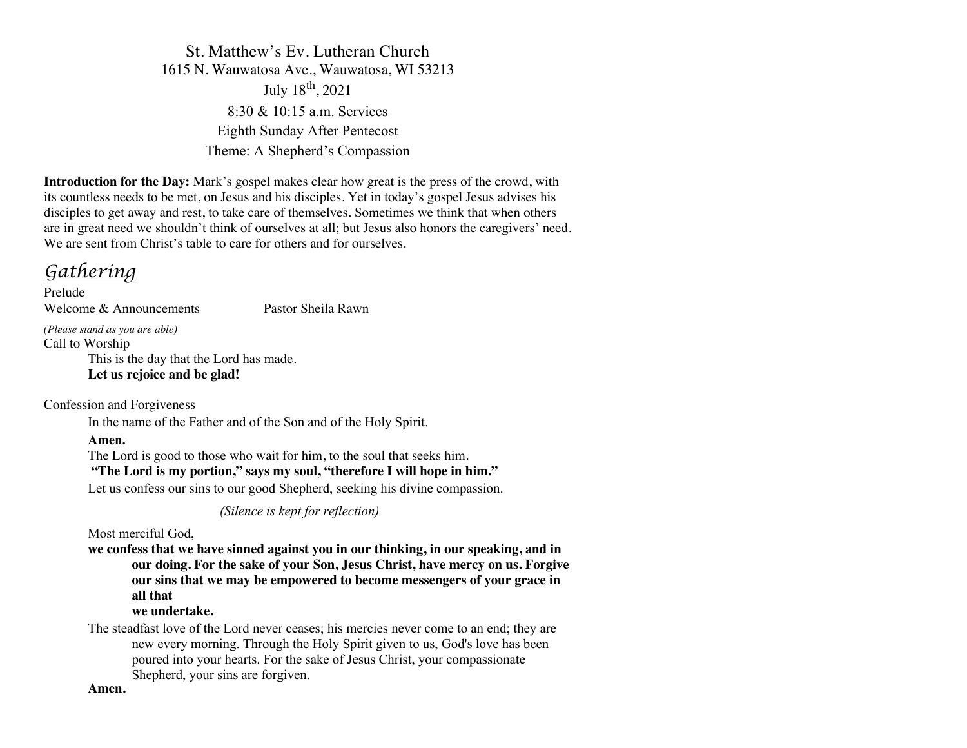St. Matthew's Ev. Lutheran Church 1615 N. Wauwatosa Ave., Wauwatosa, WI 53213 July 18th, 2021 8:30 & 10:15 a.m. Services Eighth Sunday After Pentecost Theme: A Shepherd's Compassion

**Introduction for the Day:** Mark's gospel makes clear how great is the press of the crowd, with its countless needs to be met, on Jesus and his disciples. Yet in today's gospel Jesus advises his disciples to get away and rest, to take care of themselves. Sometimes we think that when others are in great need we shouldn't think of ourselves at all; but Jesus also honors the caregivers' need. We are sent from Christ's table to care for others and for ourselves.

# *Gathering*

Prelude Welcome & Announcements Pastor Sheila Rawn

*(Please stand as you are able)*

Call to Worship This is the day that the Lord has made.

**Let us rejoice and be glad!**

Confession and Forgiveness

In the name of the Father and of the Son and of the Holy Spirit.

# **Amen.**

The Lord is good to those who wait for him, to the soul that seeks him.

# **"The Lord is my portion," says my soul, "therefore I will hope in him."**

Let us confess our sins to our good Shepherd, seeking his divine compassion.

*(Silence is kept for reflection)*

Most merciful God,

**we confess that we have sinned against you in our thinking, in our speaking, and in our doing. For the sake of your Son, Jesus Christ, have mercy on us. Forgive our sins that we may be empowered to become messengers of your grace in all that**

# **we undertake.**

The steadfast love of the Lord never ceases; his mercies never come to an end; they are new every morning. Through the Holy Spirit given to us, God's love has been poured into your hearts. For the sake of Jesus Christ, your compassionate Shepherd, your sins are forgiven.

**Amen.**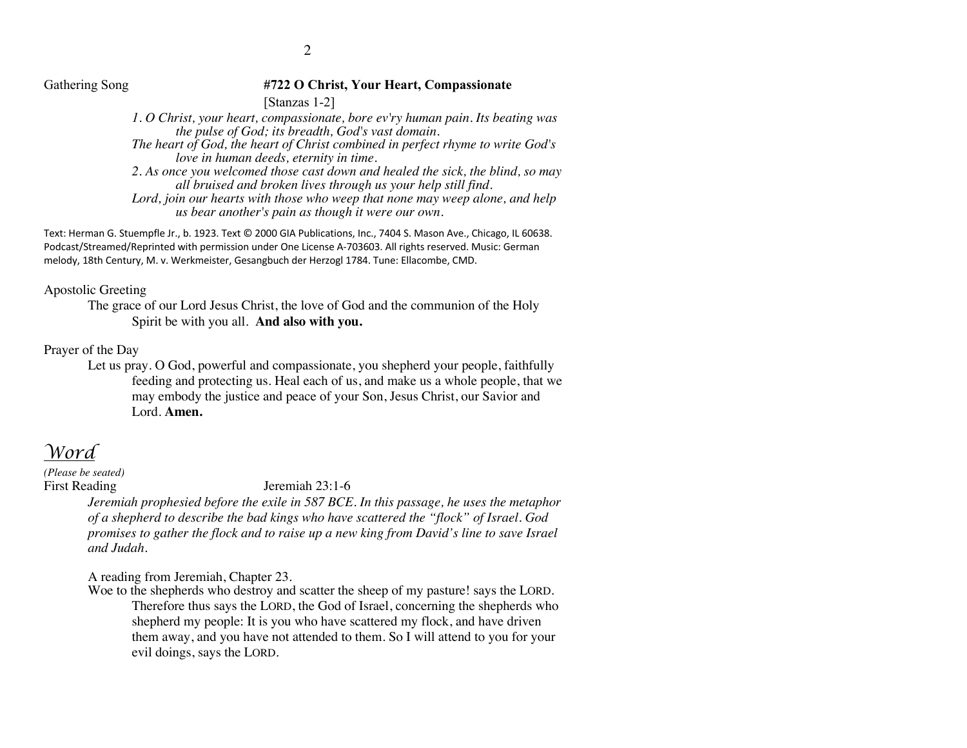#### Gathering Song **#722 O Christ, Your Heart, Compassionate**

[Stanzas 1-2]

*1. O Christ, your heart, compassionate, bore ev'ry human pain. Its beating was the pulse of God; its breadth, God's vast domain.*

*The heart of God, the heart of Christ combined in perfect rhyme to write God's love in human deeds, eternity in time.*

*2. As once you welcomed those cast down and healed the sick, the blind, so may all bruised and broken lives through us your help still find.* 

*Lord, join our hearts with those who weep that none may weep alone, and help us bear another's pain as though it were our own.* 

Text: Herman G. Stuempfle Jr., b. 1923. Text © 2000 GIA Publications, Inc., 7404 S. Mason Ave., Chicago, IL 60638. Podcast/Streamed/Reprinted with permission under One License A-703603. All rights reserved. Music: German melody, 18th Century, M. v. Werkmeister, Gesangbuch der Herzogl 1784. Tune: Ellacombe, CMD.

#### Apostolic Greeting

The grace of our Lord Jesus Christ, the love of God and the communion of the Holy Spirit be with you all. **And also with you.**

#### Prayer of the Day

Let us pray. O God, powerful and compassionate, you shepherd your people, faithfully feeding and protecting us. Heal each of us, and make us a whole people, that we may embody the justice and peace of your Son, Jesus Christ, our Savior and Lord. **Amen.**

# *Word*

*(Please be seated)*

#### First Reading Jeremiah 23:1-6

*Jeremiah prophesied before the exile in 587 BCE. In this passage, he uses the metaphor of a shepherd to describe the bad kings who have scattered the "flock" of Israel. God promises to gather the flock and to raise up a new king from David's line to save Israel and Judah.*

A reading from Jeremiah, Chapter 23.

Woe to the shepherds who destroy and scatter the sheep of my pasture! says the LORD. Therefore thus says the LORD, the God of Israel, concerning the shepherds who shepherd my people: It is you who have scattered my flock, and have driven them away, and you have not attended to them. So I will attend to you for your evil doings, says the LORD.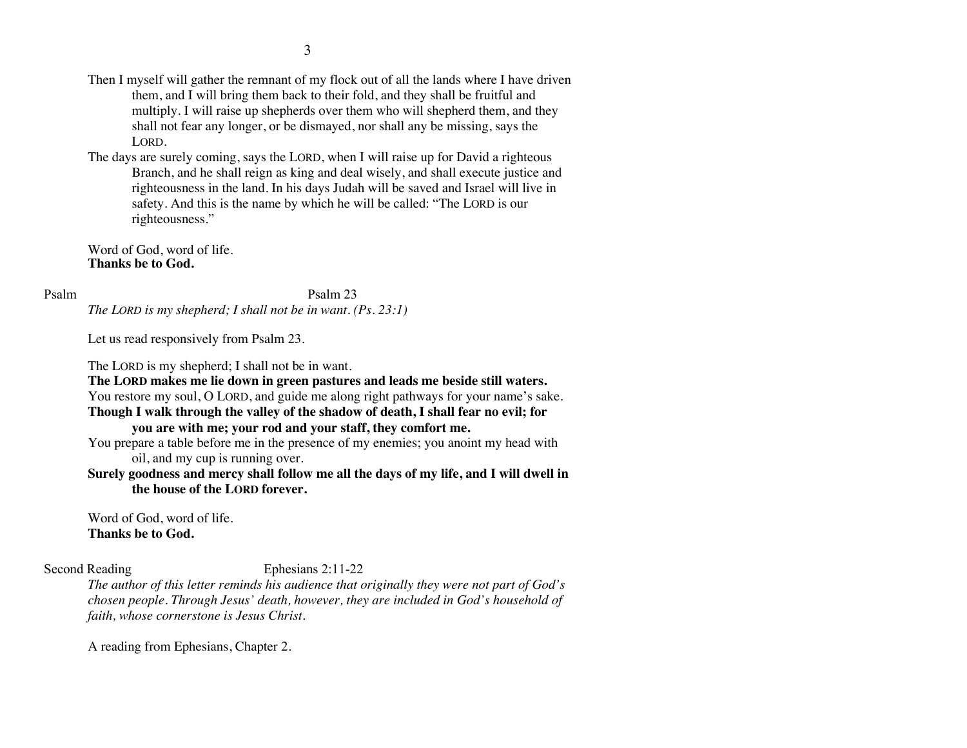- Then I myself will gather the remnant of my flock out of all the lands where I have driven them, and I will bring them back to their fold, and they shall be fruitful and multiply. I will raise up shepherds over them who will shepherd them, and they shall not fear any longer, or be dismayed, nor shall any be missing, says the LORD.
- The days are surely coming, says the LORD, when I will raise up for David a righteous Branch, and he shall reign as king and deal wisely, and shall execute justice and righteousness in the land. In his days Judah will be saved and Israel will live in safety. And this is the name by which he will be called: "The LORD is our righteousness."

Word of God, word of life. **Thanks be to God.**

Psalm Psalm 23 *The LORD is my shepherd; I shall not be in want. (Ps. 23:1)*

Let us read responsively from Psalm 23.

The LORD is my shepherd; I shall not be in want.

**The LORD makes me lie down in green pastures and leads me beside still waters.**  You restore my soul, O LORD, and guide me along right pathways for your name's sake. **Though I walk through the valley of the shadow of death, I shall fear no evil; for** 

# **you are with me; your rod and your staff, they comfort me.**

You prepare a table before me in the presence of my enemies; you anoint my head with oil, and my cup is running over.

**Surely goodness and mercy shall follow me all the days of my life, and I will dwell in the house of the LORD forever.**

Word of God, word of life. **Thanks be to God.**

#### Second Reading Ephesians 2:11-22

*The author of this letter reminds his audience that originally they were not part of God's chosen people. Through Jesus' death, however, they are included in God's household of faith, whose cornerstone is Jesus Christ.*

A reading from Ephesians, Chapter 2.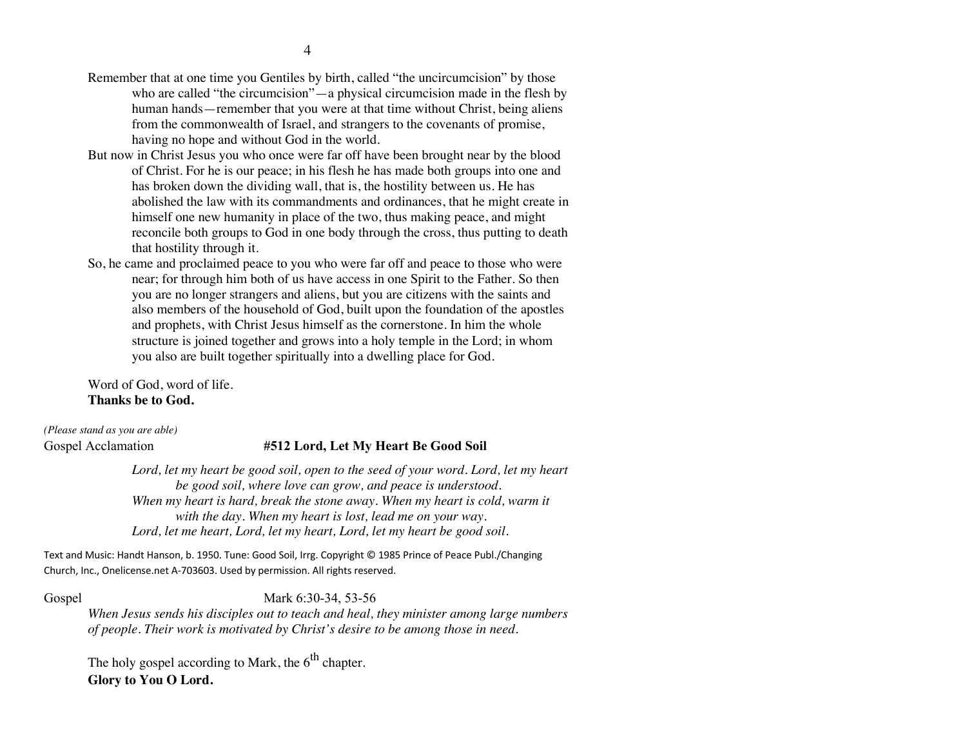- But now in Christ Jesus you who once were far off have been brought near by the blood of Christ. For he is our peace; in his flesh he has made both groups into one and has broken down the dividing wall, that is, the hostility between us. He has abolished the law with its commandments and ordinances, that he might create in himself one new humanity in place of the two, thus making peace, and might reconcile both groups to God in one body through the cross, thus putting to death that hostility through it.
- So, he came and proclaimed peace to you who were far off and peace to those who were near; for through him both of us have access in one Spirit to the Father. So then you are no longer strangers and aliens, but you are citizens with the saints and also members of the household of God, built upon the foundation of the apostles and prophets, with Christ Jesus himself as the cornerstone. In him the whole structure is joined together and grows into a holy temple in the Lord; in whom you also are built together spiritually into a dwelling place for God.

Word of God, word of life. **Thanks be to God.**

*(Please stand as you are able)*

# Gospel Acclamation **#512 Lord, Let My Heart Be Good Soil**

*Lord, let my heart be good soil, open to the seed of your word. Lord, let my heart be good soil, where love can grow, and peace is understood. When my heart is hard, break the stone away. When my heart is cold, warm it with the day. When my heart is lost, lead me on your way. Lord, let me heart, Lord, let my heart, Lord, let my heart be good soil.*

Text and Music: Handt Hanson, b. 1950. Tune: Good Soil, Irrg. Copyright © 1985 Prince of Peace Publ./Changing Church, Inc., Onelicense.net A-703603. Used by permission. All rights reserved.

Gospel Mark 6:30-34, 53-56

*When Jesus sends his disciples out to teach and heal, they minister among large numbers of people. Their work is motivated by Christ's desire to be among those in need.*

The holy gospel according to Mark, the  $6<sup>th</sup>$  chapter. **Glory to You O Lord.**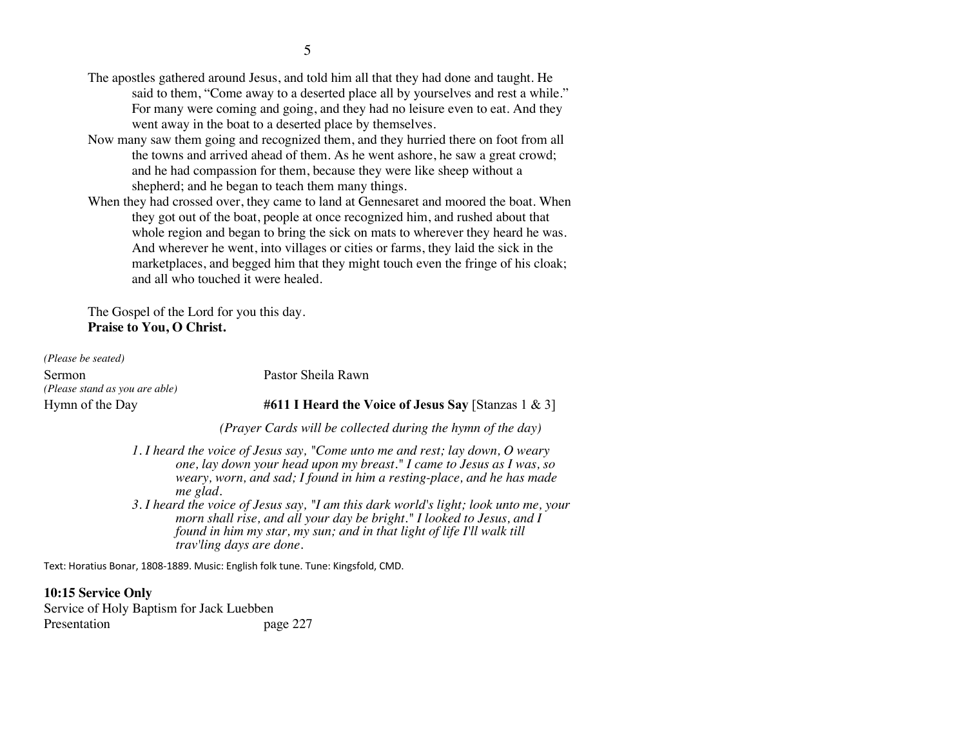- The apostles gathered around Jesus, and told him all that they had done and taught. He said to them, "Come away to a deserted place all by yourselves and rest a while." For many were coming and going, and they had no leisure even to eat. And they went away in the boat to a deserted place by themselves.
- Now many saw them going and recognized them, and they hurried there on foot from all the towns and arrived ahead of them. As he went ashore, he saw a great crowd; and he had compassion for them, because they were like sheep without a shepherd; and he began to teach them many things.
- When they had crossed over, they came to land at Gennesaret and moored the boat. When they got out of the boat, people at once recognized him, and rushed about that whole region and began to bring the sick on mats to wherever they heard he was. And wherever he went, into villages or cities or farms, they laid the sick in the marketplaces, and begged him that they might touch even the fringe of his cloak; and all who touched it were healed.

The Gospel of the Lord for you this day. **Praise to You, O Christ.**

*(Please be seated)* Sermon Pastor Sheila Rawn *(Please stand as you are able)*

Hymn of the Day **#611 I Heard the Voice of Jesus Say** [Stanzas 1 & 3]

*(Prayer Cards will be collected during the hymn of the day)*

- *1. I heard the voice of Jesus say, "Come unto me and rest; lay down, O weary one, lay down your head upon my breast." I came to Jesus as I was, so weary, worn, and sad; I found in him a resting-place, and he has made me glad.*
- *3. I heard the voice of Jesus say, "I am this dark world's light; look unto me, your morn shall rise, and all your day be bright." I looked to Jesus, and I found in him my star, my sun; and in that light of life I'll walk till trav'ling days are done.*

Text: Horatius Bonar, 1808-1889. Music: English folk tune. Tune: Kingsfold, CMD.

**10:15 Service Only** Service of Holy Baptism for Jack Luebben Presentation page 227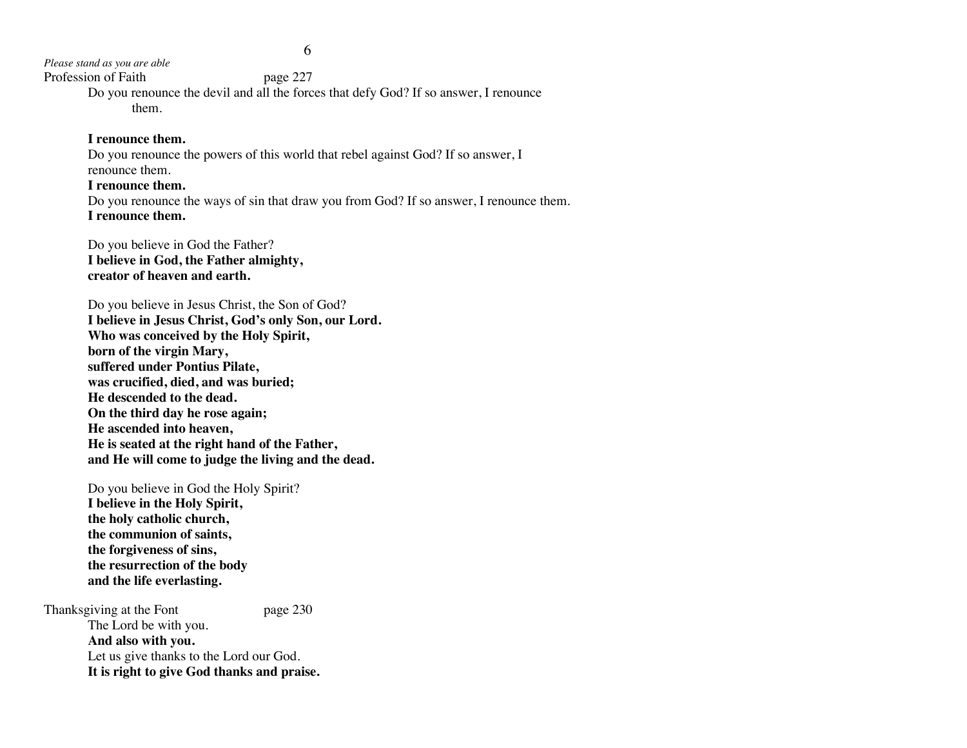*Please stand as you are able*

Profession of Faith page 227

Do you renounce the devil and all the forces that defy God? If so answer, I renounce them.

#### **I renounce them.**

Do you renounce the powers of this world that rebel against God? If so answer, I renounce them.

#### **I renounce them.**

Do you renounce the ways of sin that draw you from God? If so answer, I renounce them. **I renounce them.**

Do you believe in God the Father? **I believe in God, the Father almighty, creator of heaven and earth.**

Do you believe in Jesus Christ, the Son of God? **I believe in Jesus Christ, God's only Son, our Lord. Who was conceived by the Holy Spirit, born of the virgin Mary, suffered under Pontius Pilate, was crucified, died, and was buried; He descended to the dead. On the third day he rose again; He ascended into heaven, He is seated at the right hand of the Father, and He will come to judge the living and the dead.**

Do you believe in God the Holy Spirit? **I believe in the Holy Spirit, the holy catholic church, the communion of saints, the forgiveness of sins, the resurrection of the body and the life everlasting.**

Thanksgiving at the Font page 230 The Lord be with you. **And also with you.** Let us give thanks to the Lord our God. **It is right to give God thanks and praise.**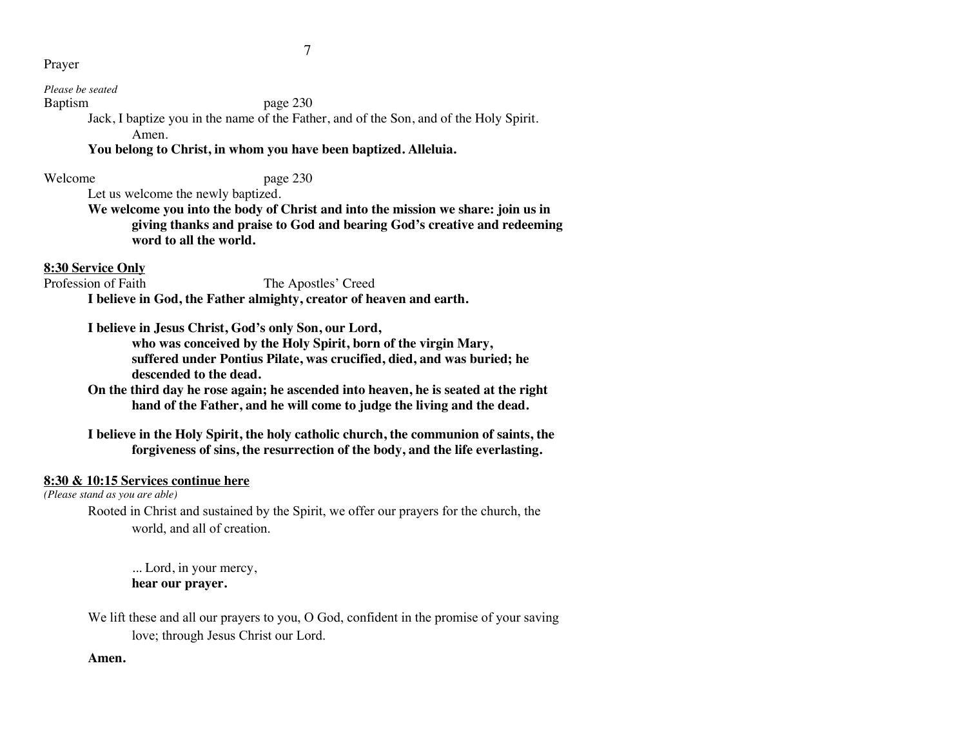#### Prayer

#### *Please be seated*

#### Baptism page 230

Jack, I baptize you in the name of the Father, and of the Son, and of the Holy Spirit. Amen.

# **You belong to Christ, in whom you have been baptized. Alleluia.**

#### Welcome page 230

Let us welcome the newly baptized.

**We welcome you into the body of Christ and into the mission we share: join us in giving thanks and praise to God and bearing God's creative and redeeming word to all the world.**

# **8:30 Service Only**

# Profession of Faith The Apostles' Creed

**I believe in God, the Father almighty, creator of heaven and earth.**

**I believe in Jesus Christ, God's only Son, our Lord,**

**who was conceived by the Holy Spirit, born of the virgin Mary, suffered under Pontius Pilate, was crucified, died, and was buried; he descended to the dead.**

**On the third day he rose again; he ascended into heaven, he is seated at the right hand of the Father, and he will come to judge the living and the dead.**

**I believe in the Holy Spirit, the holy catholic church, the communion of saints, the forgiveness of sins, the resurrection of the body, and the life everlasting.**

# **8:30 & 10:15 Services continue here**

*(Please stand as you are able)*

Rooted in Christ and sustained by the Spirit, we offer our prayers for the church, the world, and all of creation.

... Lord, in your mercy, **hear our prayer.**

We lift these and all our prayers to you, O God, confident in the promise of your saving love; through Jesus Christ our Lord.

# **Amen.**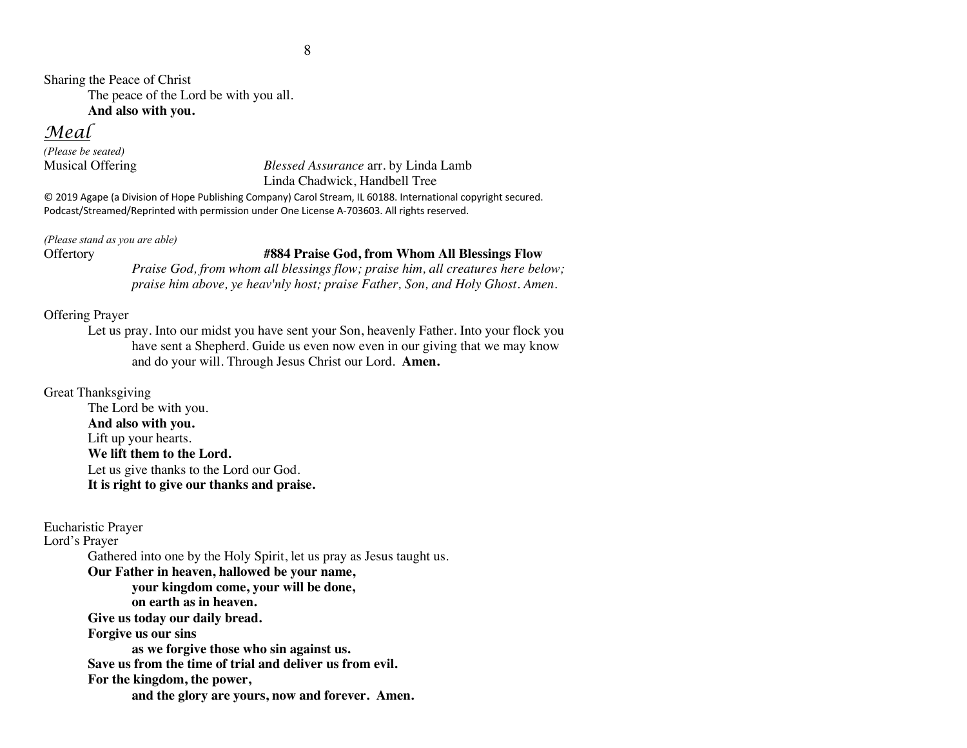Sharing the Peace of Christ The peace of the Lord be with you all.

**And also with you.**

# *Meal*

*(Please be seated)*

# Musical Offering *Blessed Assurance* arr. by Linda Lamb Linda Chadwick, Handbell Tree

© 2019 Agape (a Division of Hope Publishing Company) Carol Stream, IL 60188. International copyright secured. Podcast/Streamed/Reprinted with permission under One License A-703603. All rights reserved.

*(Please stand as you are able)*

# Offertory **#884 Praise God, from Whom All Blessings Flow**

*Praise God, from whom all blessings flow; praise him, all creatures here below; praise him above, ye heav'nly host; praise Father, Son, and Holy Ghost. Amen.*

# Offering Prayer

Let us pray. Into our midst you have sent your Son, heavenly Father. Into your flock you have sent a Shepherd. Guide us even now even in our giving that we may know and do your will. Through Jesus Christ our Lord. **Amen.**

# Great Thanksgiving

The Lord be with you. **And also with you.** Lift up your hearts. **We lift them to the Lord.** Let us give thanks to the Lord our God. **It is right to give our thanks and praise.**

Eucharistic Prayer

Lord's Prayer

Gathered into one by the Holy Spirit, let us pray as Jesus taught us.

**Our Father in heaven, hallowed be your name,** 

**your kingdom come, your will be done,** 

**on earth as in heaven.**

**Give us today our daily bread.** 

**Forgive us our sins** 

**as we forgive those who sin against us.** 

**Save us from the time of trial and deliver us from evil.**

**For the kingdom, the power,** 

**and the glory are yours, now and forever. Amen.**